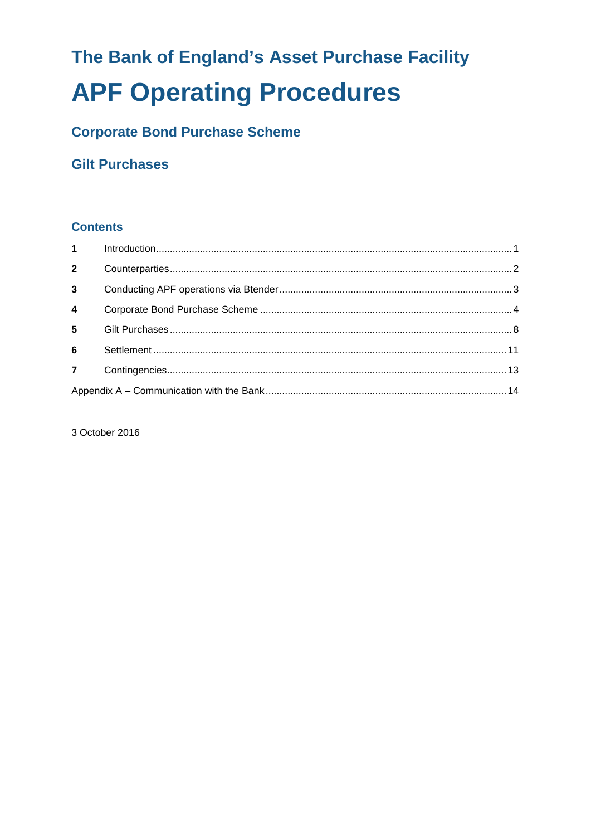# The Bank of England's Asset Purchase Facility **APF Operating Procedures**

# **Corporate Bond Purchase Scheme**

# **Gilt Purchases**

# **Contents**

| $1 \quad \blacksquare$ |  |  |
|------------------------|--|--|
| $2^{\circ}$            |  |  |
| 3 <sup>1</sup>         |  |  |
| $\overline{4}$         |  |  |
| 5 <sup>1</sup>         |  |  |
| $6\phantom{a}$         |  |  |
| $\overline{7}$         |  |  |
|                        |  |  |

3 October 2016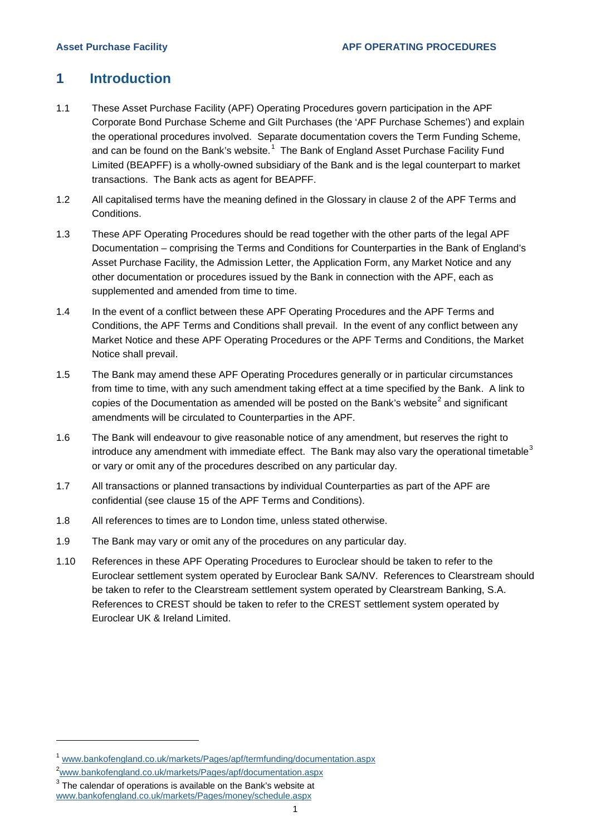# <span id="page-2-0"></span>**1 Introduction**

- 1.1 These Asset Purchase Facility (APF) Operating Procedures govern participation in the APF Corporate Bond Purchase Scheme and Gilt Purchases (the 'APF Purchase Schemes') and explain the operational procedures involved. Separate documentation covers the Term Funding Scheme, and can be found on the Bank's website.<sup>[1](#page-2-1)</sup> The Bank of England Asset Purchase Facility Fund Limited (BEAPFF) is a wholly-owned subsidiary of the Bank and is the legal counterpart to market transactions. The Bank acts as agent for BEAPFF.
- 1.2 All capitalised terms have the meaning defined in the Glossary in clause 2 of the APF Terms and Conditions.
- 1.3 These APF Operating Procedures should be read together with the other parts of the legal APF Documentation – comprising the Terms and Conditions for Counterparties in the Bank of England's Asset Purchase Facility, the Admission Letter, the Application Form, any Market Notice and any other documentation or procedures issued by the Bank in connection with the APF, each as supplemented and amended from time to time.
- 1.4 In the event of a conflict between these APF Operating Procedures and the APF Terms and Conditions, the APF Terms and Conditions shall prevail. In the event of any conflict between any Market Notice and these APF Operating Procedures or the APF Terms and Conditions, the Market Notice shall prevail.
- 1.5 The Bank may amend these APF Operating Procedures generally or in particular circumstances from time to time, with any such amendment taking effect at a time specified by the Bank. A link to copies of the Documentation as amended will be posted on the Bank's website<sup>[2](#page-2-2)</sup> and significant amendments will be circulated to Counterparties in the APF.
- 1.6 The Bank will endeavour to give reasonable notice of any amendment, but reserves the right to introduce any amendment with immediate effect. The Bank may also vary the operational timetable<sup>[3](#page-2-3)</sup> or vary or omit any of the procedures described on any particular day.
- 1.7 All transactions or planned transactions by individual Counterparties as part of the APF are confidential (see clause 15 of the APF Terms and Conditions).
- 1.8 All references to times are to London time, unless stated otherwise.
- 1.9 The Bank may vary or omit any of the procedures on any particular day.
- 1.10 References in these APF Operating Procedures to Euroclear should be taken to refer to the Euroclear settlement system operated by Euroclear Bank SA/NV. References to Clearstream should be taken to refer to the Clearstream settlement system operated by Clearstream Banking, S.A. References to CREST should be taken to refer to the CREST settlement system operated by Euroclear UK & Ireland Limited.

<span id="page-2-1"></span><sup>1</sup> [www.bankofengland.co.uk/markets/Pages/apf/termfunding/documentation.aspx](http://www.bankofengland.co.uk/markets/Pages/apf/termfunding/documentation.aspx)

<span id="page-2-2"></span><sup>2</sup> [www.bankofengland.co.uk/markets/Pages/apf/documentation.aspx](http://www.bankofengland.co.uk/markets/Pages/apf/documentation.aspx)

<span id="page-2-3"></span> $3$  The calendar of operations is available on the Bank's website at

[www.bankofengland.co.uk/markets/Pages/money/schedule.aspx](http://www.bankofengland.co.uk/markets/Pages/money/schedule.aspx)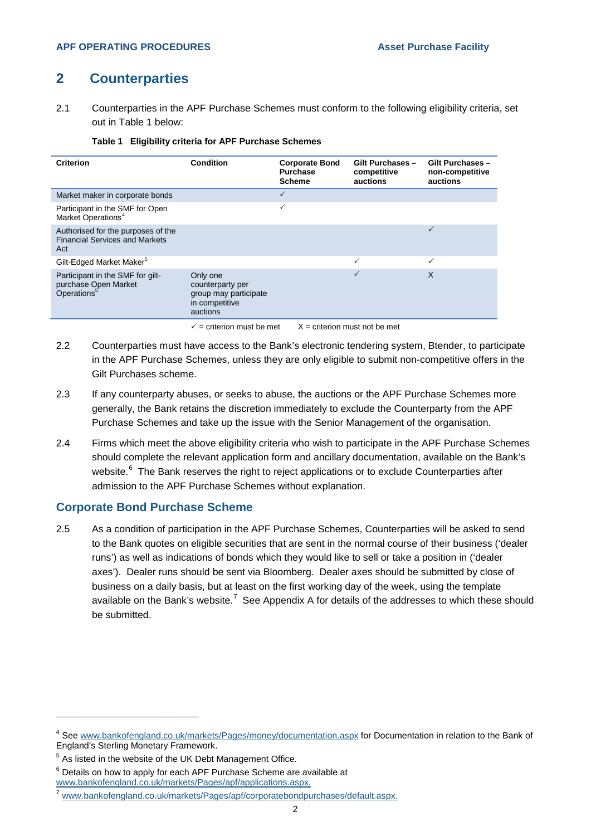# <span id="page-3-0"></span>**2 Counterparties**

2.1 Counterparties in the APF Purchase Schemes must conform to the following eligibility criteria, set out in Table 1 below:

|  | Table 1 Eligibility criteria for APF Purchase Schemes |  |  |  |  |
|--|-------------------------------------------------------|--|--|--|--|
|--|-------------------------------------------------------|--|--|--|--|

| <b>Criterion</b>                                                                    | Condition                                                                           | <b>Corporate Bond</b><br><b>Purchase</b><br><b>Scheme</b> | Gilt Purchases -<br>competitive<br>auctions | Gilt Purchases -<br>non-competitive<br>auctions |
|-------------------------------------------------------------------------------------|-------------------------------------------------------------------------------------|-----------------------------------------------------------|---------------------------------------------|-------------------------------------------------|
| Market maker in corporate bonds                                                     |                                                                                     | $\checkmark$                                              |                                             |                                                 |
| Participant in the SMF for Open<br>Market Operations <sup>4</sup>                   |                                                                                     | ✓                                                         |                                             |                                                 |
| Authorised for the purposes of the<br><b>Financial Services and Markets</b><br>Act  |                                                                                     |                                                           |                                             | ✓                                               |
| Gilt-Edged Market Maker <sup>5</sup>                                                |                                                                                     |                                                           | ✓                                           | ✓                                               |
| Participant in the SMF for gilt-<br>purchase Open Market<br>Operations <sup>5</sup> | Only one<br>counterparty per<br>group may participate<br>in competitive<br>auctions |                                                           |                                             | X                                               |
|                                                                                     | $\checkmark$ = criterion must be met                                                | $X =$ criterion must not be met                           |                                             |                                                 |

- 2.2 Counterparties must have access to the Bank's electronic tendering system, Btender, to participate in the APF Purchase Schemes, unless they are only eligible to submit non-competitive offers in the Gilt Purchases scheme.
- 2.3 If any counterparty abuses, or seeks to abuse, the auctions or the APF Purchase Schemes more generally, the Bank retains the discretion immediately to exclude the Counterparty from the APF Purchase Schemes and take up the issue with the Senior Management of the organisation.
- 2.4 Firms which meet the above eligibility criteria who wish to participate in the APF Purchase Schemes should complete the relevant application form and ancillary documentation, available on the Bank's website.<sup>[6](#page-3-3)</sup> The Bank reserves the right to reject applications or to exclude Counterparties after admission to the APF Purchase Schemes without explanation.

#### **Corporate Bond Purchase Scheme**

2.5 As a condition of participation in the APF Purchase Schemes, Counterparties will be asked to send to the Bank quotes on eligible securities that are sent in the normal course of their business ('dealer runs') as well as indications of bonds which they would like to sell or take a position in ('dealer axes'). Dealer runs should be sent via Bloomberg. Dealer axes should be submitted by close of business on a daily basis, but at least on the first working day of the week, using the template available on the Bank's website.<sup>[7](#page-3-4)</sup> See Appendix A for details of the addresses to which these should be submitted.

-

[www.bankofengland.co.uk/markets/Pages/apf/applications.aspx.](http://www.bankofengland.co.uk/markets/Pages/apf/applications.aspx)

<span id="page-3-1"></span><sup>4</sup> See [www.bankofengland.co.uk/markets/Pages/money/documentation.aspx](http://www.bankofengland.co.uk/markets/Pages/money/documentation.aspx) for Documentation in relation to the Bank of England's Sterling Monetary Framework.

<span id="page-3-2"></span> $5$  As listed in the website of the UK Debt Management Office.

<span id="page-3-3"></span> $6$  Details on how to apply for each APF Purchase Scheme are available at

<span id="page-3-4"></span><sup>7</sup> [www.bankofengland.co.uk/markets/Pages/apf/corporatebondpurchases/default.aspx.](http://www.bankofengland.co.uk/markets/Pages/apf/corporatebondpurchases/default.aspx)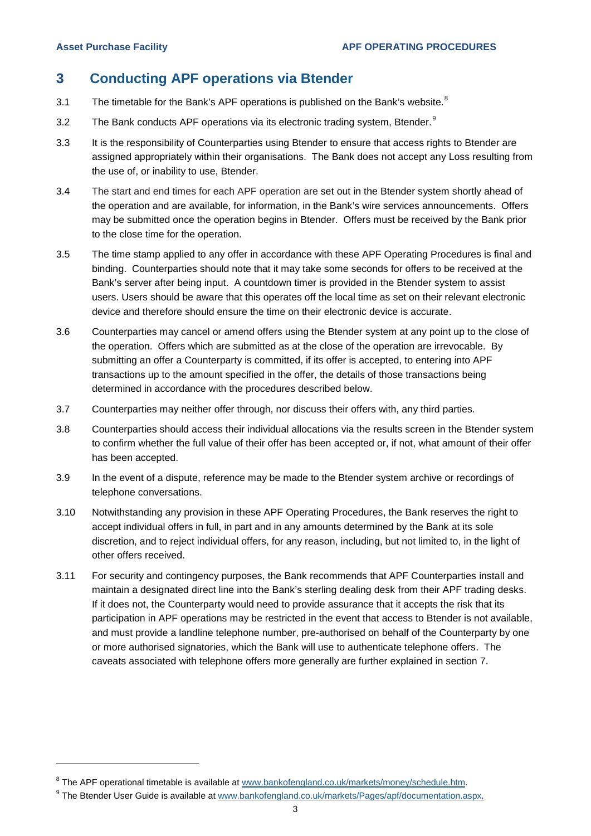-

# <span id="page-4-0"></span>**3 Conducting APF operations via Btender**

- 3.1 The timetable for the Bank's APF operations is published on the Bank's website. $8$
- 3.2 The Bank conducts APF operations via its electronic trading system, Btender. $9$
- 3.3 It is the responsibility of Counterparties using Btender to ensure that access rights to Btender are assigned appropriately within their organisations. The Bank does not accept any Loss resulting from the use of, or inability to use, Btender.
- 3.4 The start and end times for each APF operation are set out in the Btender system shortly ahead of the operation and are available, for information, in the Bank's wire services announcements. Offers may be submitted once the operation begins in Btender. Offers must be received by the Bank prior to the close time for the operation.
- 3.5 The time stamp applied to any offer in accordance with these APF Operating Procedures is final and binding. Counterparties should note that it may take some seconds for offers to be received at the Bank's server after being input. A countdown timer is provided in the Btender system to assist users. Users should be aware that this operates off the local time as set on their relevant electronic device and therefore should ensure the time on their electronic device is accurate.
- 3.6 Counterparties may cancel or amend offers using the Btender system at any point up to the close of the operation. Offers which are submitted as at the close of the operation are irrevocable. By submitting an offer a Counterparty is committed, if its offer is accepted, to entering into APF transactions up to the amount specified in the offer, the details of those transactions being determined in accordance with the procedures described below.
- 3.7 Counterparties may neither offer through, nor discuss their offers with, any third parties.
- 3.8 Counterparties should access their individual allocations via the results screen in the Btender system to confirm whether the full value of their offer has been accepted or, if not, what amount of their offer has been accepted.
- 3.9 In the event of a dispute, reference may be made to the Btender system archive or recordings of telephone conversations.
- 3.10 Notwithstanding any provision in these APF Operating Procedures, the Bank reserves the right to accept individual offers in full, in part and in any amounts determined by the Bank at its sole discretion, and to reject individual offers, for any reason, including, but not limited to, in the light of other offers received.
- 3.11 For security and contingency purposes, the Bank recommends that APF Counterparties install and maintain a designated direct line into the Bank's sterling dealing desk from their APF trading desks. If it does not, the Counterparty would need to provide assurance that it accepts the risk that its participation in APF operations may be restricted in the event that access to Btender is not available, and must provide a landline telephone number, pre-authorised on behalf of the Counterparty by one or more authorised signatories, which the Bank will use to authenticate telephone offers. The caveats associated with telephone offers more generally are further explained in section 7.

<span id="page-4-1"></span><sup>&</sup>lt;sup>8</sup> The APF operational timetable is available a[t www.bankofengland.co.uk/markets/money/schedule.htm.](http://www.bankofengland.co.uk/markets/money/schedule.htm)

<span id="page-4-2"></span><sup>&</sup>lt;sup>9</sup> The Btender User Guide is available at [www.bankofengland.co.uk/markets/Pages/apf/documentation.aspx.](http://www.bankofengland.co.uk/markets/Pages/apf/documentation.aspx)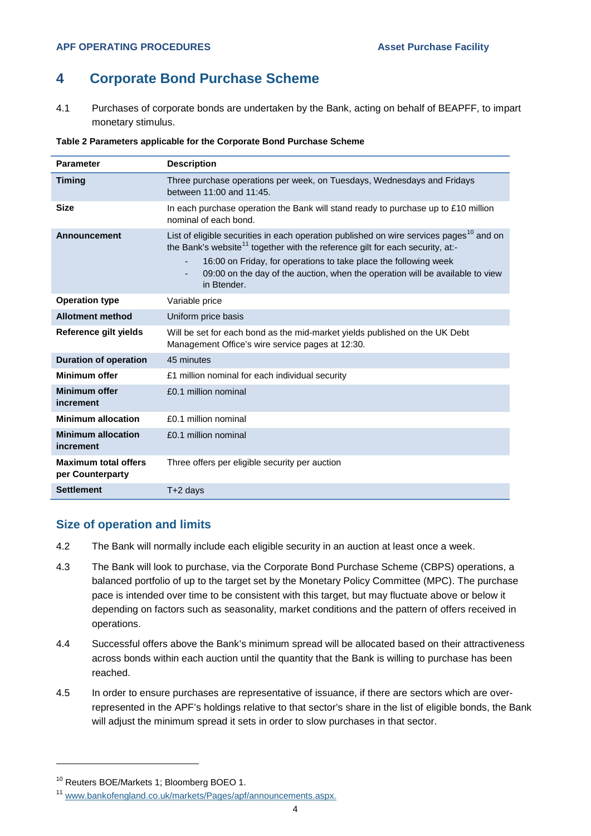# <span id="page-5-0"></span>**4 Corporate Bond Purchase Scheme**

4.1 Purchases of corporate bonds are undertaken by the Bank, acting on behalf of BEAPFF, to impart monetary stimulus.

| Table 2 Parameters applicable for the Corporate Bond Purchase Scheme |  |
|----------------------------------------------------------------------|--|
|----------------------------------------------------------------------|--|

| <b>Parameter</b>                                | <b>Description</b>                                                                                                                                                                                                                                                                                                                                                        |
|-------------------------------------------------|---------------------------------------------------------------------------------------------------------------------------------------------------------------------------------------------------------------------------------------------------------------------------------------------------------------------------------------------------------------------------|
| <b>Timing</b>                                   | Three purchase operations per week, on Tuesdays, Wednesdays and Fridays<br>between 11:00 and 11:45.                                                                                                                                                                                                                                                                       |
| <b>Size</b>                                     | In each purchase operation the Bank will stand ready to purchase up to £10 million<br>nominal of each bond.                                                                                                                                                                                                                                                               |
| <b>Announcement</b>                             | List of eligible securities in each operation published on wire services pages <sup>10</sup> and on<br>the Bank's website <sup>11</sup> together with the reference gilt for each security, at:-<br>16:00 on Friday, for operations to take place the following week<br>٠<br>09:00 on the day of the auction, when the operation will be available to view<br>in Btender. |
| <b>Operation type</b>                           | Variable price                                                                                                                                                                                                                                                                                                                                                            |
| <b>Allotment method</b>                         | Uniform price basis                                                                                                                                                                                                                                                                                                                                                       |
| Reference gilt yields                           | Will be set for each bond as the mid-market yields published on the UK Debt<br>Management Office's wire service pages at 12:30.                                                                                                                                                                                                                                           |
| <b>Duration of operation</b>                    | 45 minutes                                                                                                                                                                                                                                                                                                                                                                |
| <b>Minimum offer</b>                            | £1 million nominal for each individual security                                                                                                                                                                                                                                                                                                                           |
| <b>Minimum offer</b><br>increment               | £0.1 million nominal                                                                                                                                                                                                                                                                                                                                                      |
| <b>Minimum allocation</b>                       | £0.1 million nominal                                                                                                                                                                                                                                                                                                                                                      |
| <b>Minimum allocation</b><br>increment          | £0.1 million nominal                                                                                                                                                                                                                                                                                                                                                      |
| <b>Maximum total offers</b><br>per Counterparty | Three offers per eligible security per auction                                                                                                                                                                                                                                                                                                                            |
| <b>Settlement</b>                               | T+2 days                                                                                                                                                                                                                                                                                                                                                                  |

#### **Size of operation and limits**

- 4.2 The Bank will normally include each eligible security in an auction at least once a week.
- 4.3 The Bank will look to purchase, via the Corporate Bond Purchase Scheme (CBPS) operations, a balanced portfolio of up to the target set by the Monetary Policy Committee (MPC). The purchase pace is intended over time to be consistent with this target, but may fluctuate above or below it depending on factors such as seasonality, market conditions and the pattern of offers received in operations.
- 4.4 Successful offers above the Bank's minimum spread will be allocated based on their attractiveness across bonds within each auction until the quantity that the Bank is willing to purchase has been reached.
- 4.5 In order to ensure purchases are representative of issuance, if there are sectors which are overrepresented in the APF's holdings relative to that sector's share in the list of eligible bonds, the Bank will adjust the minimum spread it sets in order to slow purchases in that sector.

<span id="page-5-1"></span><sup>10</sup> Reuters BOE/Markets 1; Bloomberg BOEO 1.

<span id="page-5-2"></span><sup>11</sup> [www.bankofengland.co.uk/markets/Pages/apf/announcements.aspx.](http://www.bankofengland.co.uk/markets/Pages/apf/announcements.aspx)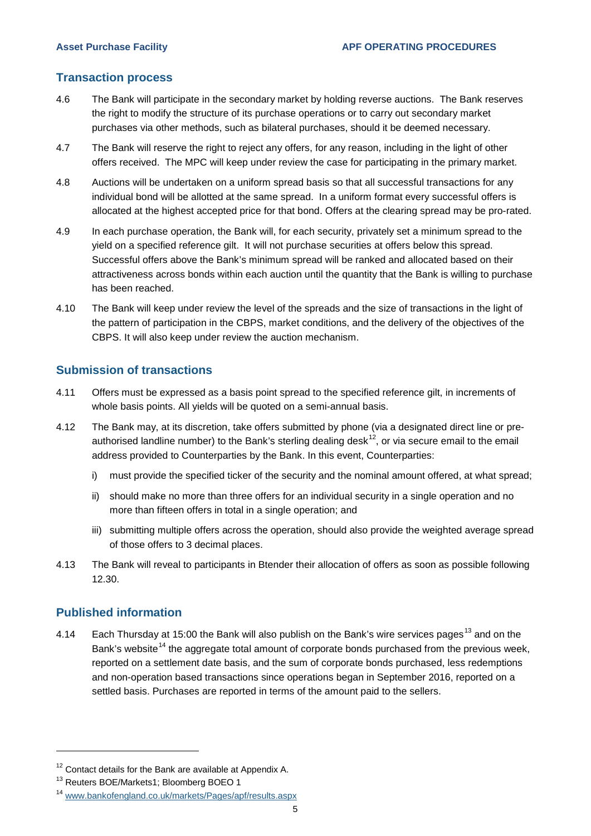### **Transaction process**

- 4.6 The Bank will participate in the secondary market by holding reverse auctions. The Bank reserves the right to modify the structure of its purchase operations or to carry out secondary market purchases via other methods, such as bilateral purchases, should it be deemed necessary.
- 4.7 The Bank will reserve the right to reject any offers, for any reason, including in the light of other offers received. The MPC will keep under review the case for participating in the primary market.
- 4.8 Auctions will be undertaken on a uniform spread basis so that all successful transactions for any individual bond will be allotted at the same spread. In a uniform format every successful offers is allocated at the highest accepted price for that bond. Offers at the clearing spread may be pro-rated.
- 4.9 In each purchase operation, the Bank will, for each security, privately set a minimum spread to the yield on a specified reference gilt. It will not purchase securities at offers below this spread. Successful offers above the Bank's minimum spread will be ranked and allocated based on their attractiveness across bonds within each auction until the quantity that the Bank is willing to purchase has been reached.
- 4.10 The Bank will keep under review the level of the spreads and the size of transactions in the light of the pattern of participation in the CBPS, market conditions, and the delivery of the objectives of the CBPS. It will also keep under review the auction mechanism.

## **Submission of transactions**

- 4.11 Offers must be expressed as a basis point spread to the specified reference gilt, in increments of whole basis points. All yields will be quoted on a semi-annual basis.
- 4.12 The Bank may, at its discretion, take offers submitted by phone (via a designated direct line or preauthorised landline number) to the Bank's sterling dealing desk<sup>12</sup>, or via secure email to the email address provided to Counterparties by the Bank. In this event, Counterparties:
	- i) must provide the specified ticker of the security and the nominal amount offered, at what spread;
	- ii) should make no more than three offers for an individual security in a single operation and no more than fifteen offers in total in a single operation; and
	- iii) submitting multiple offers across the operation, should also provide the weighted average spread of those offers to 3 decimal places.
- 4.13 The Bank will reveal to participants in Btender their allocation of offers as soon as possible following 12.30.

## **Published information**

-

4.14 Each Thursday at 15:00 the Bank will also publish on the Bank's wire services pages<sup>[13](#page-6-1)</sup> and on the Bank's website<sup>[14](#page-6-2)</sup> the aggregate total amount of corporate bonds purchased from the previous week, reported on a settlement date basis, and the sum of corporate bonds purchased, less redemptions and non-operation based transactions since operations began in September 2016, reported on a settled basis. Purchases are reported in terms of the amount paid to the sellers.

<span id="page-6-0"></span><sup>&</sup>lt;sup>12</sup> Contact details for the Bank are available at Appendix A.

<span id="page-6-1"></span><sup>&</sup>lt;sup>13</sup> Reuters BOE/Markets1; Bloomberg BOEO 1

<span id="page-6-2"></span><sup>14</sup> [www.bankofengland.co.uk/markets/Pages/apf/results.aspx](http://www.bankofengland.co.uk/markets/Pages/apf/results.aspx)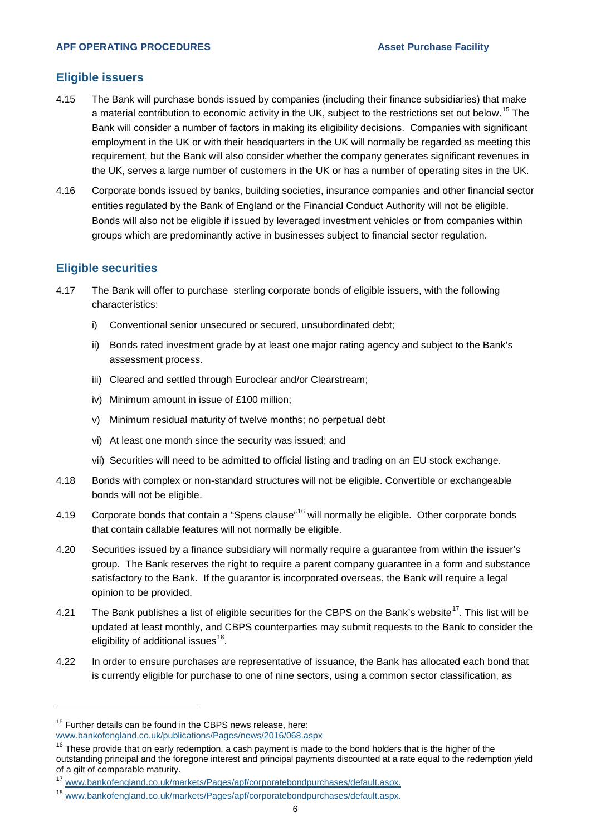#### **Eligible issuers**

- 4.15 The Bank will purchase bonds issued by companies (including their finance subsidiaries) that make a material contribution to economic activity in the UK, subject to the restrictions set out below.<sup>[15](#page-7-0)</sup> The Bank will consider a number of factors in making its eligibility decisions. Companies with significant employment in the UK or with their headquarters in the UK will normally be regarded as meeting this requirement, but the Bank will also consider whether the company generates significant revenues in the UK, serves a large number of customers in the UK or has a number of operating sites in the UK.
- 4.16 Corporate bonds issued by banks, building societies, insurance companies and other financial sector entities regulated by the Bank of England or the Financial Conduct Authority will not be eligible. Bonds will also not be eligible if issued by leveraged investment vehicles or from companies within groups which are predominantly active in businesses subject to financial sector regulation.

#### **Eligible securities**

- 4.17 The Bank will offer to purchase sterling corporate bonds of eligible issuers, with the following characteristics:
	- i) Conventional senior unsecured or secured, unsubordinated debt;
	- ii) Bonds rated investment grade by at least one major rating agency and subject to the Bank's assessment process.
	- iii) Cleared and settled through Euroclear and/or Clearstream;
	- iv) Minimum amount in issue of £100 million;
	- v) Minimum residual maturity of twelve months; no perpetual debt
	- vi) At least one month since the security was issued; and
	- vii) Securities will need to be admitted to official listing and trading on an EU stock exchange.
- 4.18 Bonds with complex or non-standard structures will not be eligible. Convertible or exchangeable bonds will not be eligible.
- 4.19 Corporate bonds that contain a "Spens clause"<sup>[16](#page-7-1)</sup> will normally be eligible. Other corporate bonds that contain callable features will not normally be eligible.
- 4.20 Securities issued by a finance subsidiary will normally require a guarantee from within the issuer's group. The Bank reserves the right to require a parent company guarantee in a form and substance satisfactory to the Bank. If the guarantor is incorporated overseas, the Bank will require a legal opinion to be provided.
- 4.21 The Bank publishes a list of eligible securities for the CBPS on the Bank's website<sup>17</sup>. This list will be updated at least monthly, and CBPS counterparties may submit requests to the Bank to consider the eligibility of additional issues $18$ .
- 4.22 In order to ensure purchases are representative of issuance, the Bank has allocated each bond that is currently eligible for purchase to one of nine sectors, using a common sector classification, as

<span id="page-7-0"></span><sup>&</sup>lt;sup>15</sup> Further details can be found in the CBPS news release, here: [www.bankofengland.co.uk/publications/Pages/news/2016/068.aspx](http://www.bankofengland.co.uk/publications/Pages/news/2016/068.aspx)

<span id="page-7-1"></span> $16$  These provide that on early redemption, a cash payment is made to the bond holders that is the higher of the outstanding principal and the foregone interest and principal payments discounted at a rate equal to the redemption yield of a gilt of comparable maturity.

<span id="page-7-2"></span><sup>17</sup> [www.bankofengland.co.uk/markets/Pages/apf/corporatebondpurchases/default.aspx.](http://www.bankofengland.co.uk/markets/Pages/apf/corporatebondpurchases/default.aspx)

<span id="page-7-3"></span><sup>18</sup> [www.bankofengland.co.uk/markets/Pages/apf/corporatebondpurchases/default.aspx.](http://www.bankofengland.co.uk/markets/Pages/apf/corporatebondpurchases/default.aspx)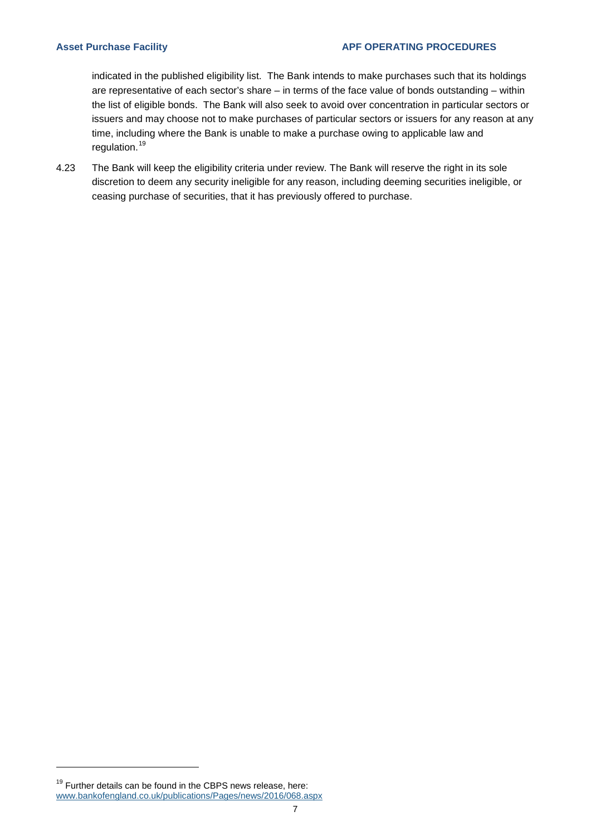indicated in the published eligibility list. The Bank intends to make purchases such that its holdings are representative of each sector's share – in terms of the face value of bonds outstanding – within the list of eligible bonds. The Bank will also seek to avoid over concentration in particular sectors or issuers and may choose not to make purchases of particular sectors or issuers for any reason at any time, including where the Bank is unable to make a purchase owing to applicable law and regulation.<sup>[19](#page-8-0)</sup>

4.23 The Bank will keep the eligibility criteria under review. The Bank will reserve the right in its sole discretion to deem any security ineligible for any reason, including deeming securities ineligible, or ceasing purchase of securities, that it has previously offered to purchase.

<span id="page-8-0"></span> $19$  Further details can be found in the CBPS news release, here: [www.bankofengland.co.uk/publications/Pages/news/2016/068.aspx](http://www.bankofengland.co.uk/publications/Pages/news/2016/068.aspx)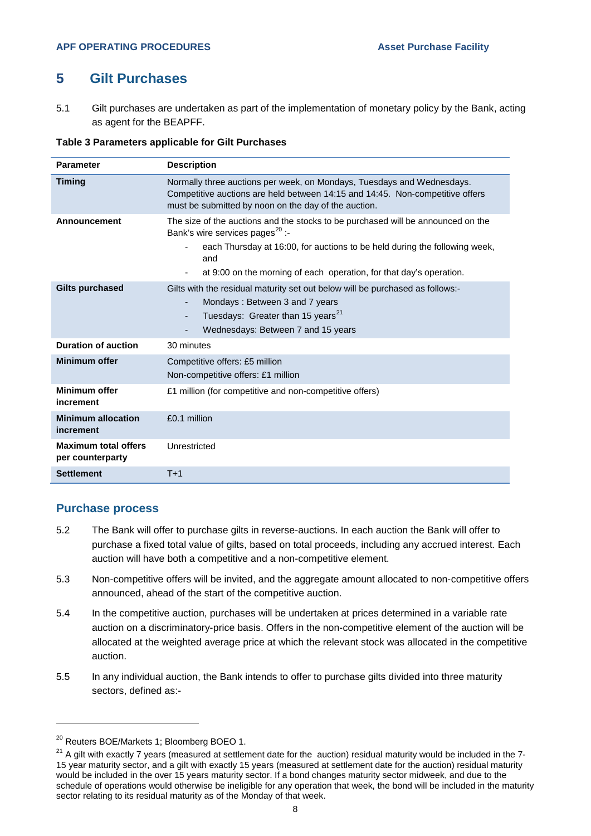# <span id="page-9-0"></span>**5 Gilt Purchases**

5.1 Gilt purchases are undertaken as part of the implementation of monetary policy by the Bank, acting as agent for the BEAPFF.

#### **Table 3 Parameters applicable for Gilt Purchases**

| <b>Parameter</b>                                | <b>Description</b>                                                                                                                                                                                                                                                                          |  |
|-------------------------------------------------|---------------------------------------------------------------------------------------------------------------------------------------------------------------------------------------------------------------------------------------------------------------------------------------------|--|
| <b>Timing</b>                                   | Normally three auctions per week, on Mondays, Tuesdays and Wednesdays.<br>Competitive auctions are held between 14:15 and 14:45. Non-competitive offers<br>must be submitted by noon on the day of the auction.                                                                             |  |
| Announcement                                    | The size of the auctions and the stocks to be purchased will be announced on the<br>Bank's wire services pages <sup>20</sup> :-<br>each Thursday at 16:00, for auctions to be held during the following week,<br>and<br>at 9:00 on the morning of each operation, for that day's operation. |  |
| <b>Gilts purchased</b>                          | Gilts with the residual maturity set out below will be purchased as follows:-<br>Mondays: Between 3 and 7 years<br>Tuesdays: Greater than 15 years <sup>21</sup><br>٠<br>Wednesdays: Between 7 and 15 years                                                                                 |  |
| <b>Duration of auction</b>                      | 30 minutes                                                                                                                                                                                                                                                                                  |  |
| <b>Minimum offer</b>                            | Competitive offers: £5 million<br>Non-competitive offers: £1 million                                                                                                                                                                                                                        |  |
| Minimum offer<br>increment                      | £1 million (for competitive and non-competitive offers)                                                                                                                                                                                                                                     |  |
| <b>Minimum allocation</b><br>increment          | £0.1 million                                                                                                                                                                                                                                                                                |  |
| <b>Maximum total offers</b><br>per counterparty | Unrestricted                                                                                                                                                                                                                                                                                |  |
| <b>Settlement</b>                               | $T+1$                                                                                                                                                                                                                                                                                       |  |

#### **Purchase process**

- 5.2 The Bank will offer to purchase gilts in reverse-auctions. In each auction the Bank will offer to purchase a fixed total value of gilts, based on total proceeds, including any accrued interest. Each auction will have both a competitive and a non-competitive element.
- 5.3 Non-competitive offers will be invited, and the aggregate amount allocated to non-competitive offers announced, ahead of the start of the competitive auction.
- 5.4 In the competitive auction, purchases will be undertaken at prices determined in a variable rate auction on a discriminatory-price basis. Offers in the non-competitive element of the auction will be allocated at the weighted average price at which the relevant stock was allocated in the competitive auction.
- 5.5 In any individual auction, the Bank intends to offer to purchase gilts divided into three maturity sectors, defined as:-

<span id="page-9-1"></span><sup>&</sup>lt;sup>20</sup> Reuters BOE/Markets 1; Bloomberg BOEO 1.

<span id="page-9-2"></span> $21$  A gilt with exactly 7 years (measured at settlement date for the auction) residual maturity would be included in the 7-15 year maturity sector, and a gilt with exactly 15 years (measured at settlement date for the auction) residual maturity would be included in the over 15 years maturity sector. If a bond changes maturity sector midweek, and due to the schedule of operations would otherwise be ineligible for any operation that week, the bond will be included in the maturity sector relating to its residual maturity as of the Monday of that week.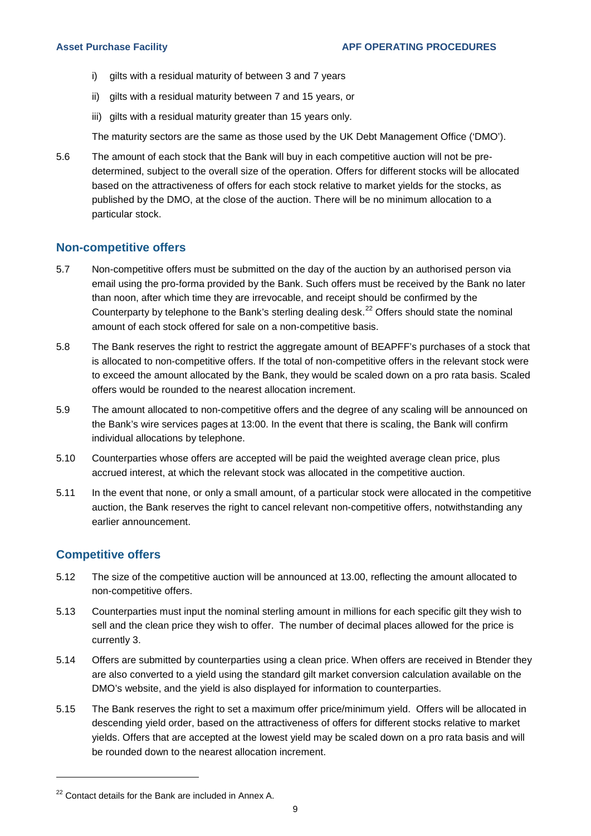- i) gilts with a residual maturity of between 3 and 7 years
- ii) gilts with a residual maturity between 7 and 15 years, or
- iii) gilts with a residual maturity greater than 15 years only.

The maturity sectors are the same as those used by the UK Debt Management Office ('DMO').

5.6 The amount of each stock that the Bank will buy in each competitive auction will not be predetermined, subject to the overall size of the operation. Offers for different stocks will be allocated based on the attractiveness of offers for each stock relative to market yields for the stocks, as published by the DMO, at the close of the auction. There will be no minimum allocation to a particular stock.

#### **Non-competitive offers**

- 5.7 Non-competitive offers must be submitted on the day of the auction by an authorised person via email using the pro-forma provided by the Bank. Such offers must be received by the Bank no later than noon, after which time they are irrevocable, and receipt should be confirmed by the Counterparty by telephone to the Bank's sterling dealing desk.<sup>[22](#page-10-0)</sup> Offers should state the nominal amount of each stock offered for sale on a non-competitive basis.
- 5.8 The Bank reserves the right to restrict the aggregate amount of BEAPFF's purchases of a stock that is allocated to non-competitive offers. If the total of non-competitive offers in the relevant stock were to exceed the amount allocated by the Bank, they would be scaled down on a pro rata basis. Scaled offers would be rounded to the nearest allocation increment.
- 5.9 The amount allocated to non-competitive offers and the degree of any scaling will be announced on the Bank's wire services pages at 13:00. In the event that there is scaling, the Bank will confirm individual allocations by telephone.
- 5.10 Counterparties whose offers are accepted will be paid the weighted average clean price, plus accrued interest, at which the relevant stock was allocated in the competitive auction.
- 5.11 In the event that none, or only a small amount, of a particular stock were allocated in the competitive auction, the Bank reserves the right to cancel relevant non-competitive offers, notwithstanding any earlier announcement.

## **Competitive offers**

- 5.12 The size of the competitive auction will be announced at 13.00, reflecting the amount allocated to non-competitive offers.
- 5.13 Counterparties must input the nominal sterling amount in millions for each specific gilt they wish to sell and the clean price they wish to offer. The number of decimal places allowed for the price is currently 3.
- 5.14 Offers are submitted by counterparties using a clean price. When offers are received in Btender they are also converted to a yield using the standard gilt market conversion calculation available on the DMO's website, and the yield is also displayed for information to counterparties.
- 5.15 The Bank reserves the right to set a maximum offer price/minimum yield. Offers will be allocated in descending yield order, based on the attractiveness of offers for different stocks relative to market yields. Offers that are accepted at the lowest yield may be scaled down on a pro rata basis and will be rounded down to the nearest allocation increment.

<span id="page-10-0"></span><sup>&</sup>lt;sup>22</sup> Contact details for the Bank are included in Annex A.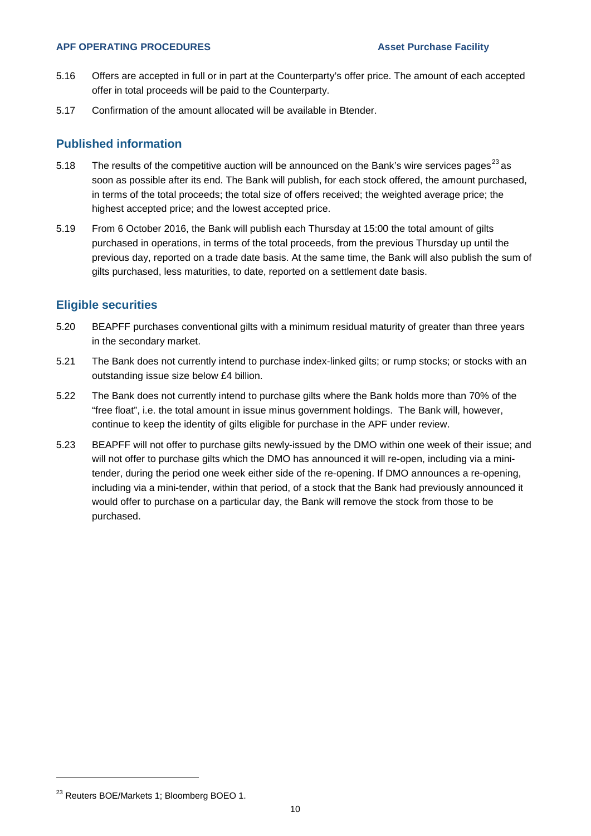#### **APF OPERATING PROCEDURES** Asset Purchase Facility

- 5.16 Offers are accepted in full or in part at the Counterparty's offer price. The amount of each accepted offer in total proceeds will be paid to the Counterparty.
- 5.17 Confirmation of the amount allocated will be available in Btender.

## **Published information**

- 5.18 The results of the competitive auction will be announced on the Bank's wire services pages<sup>[23](#page-11-0)</sup> as soon as possible after its end. The Bank will publish, for each stock offered, the amount purchased, in terms of the total proceeds; the total size of offers received; the weighted average price; the highest accepted price; and the lowest accepted price.
- 5.19 From 6 October 2016, the Bank will publish each Thursday at 15:00 the total amount of gilts purchased in operations, in terms of the total proceeds, from the previous Thursday up until the previous day, reported on a trade date basis. At the same time, the Bank will also publish the sum of gilts purchased, less maturities, to date, reported on a settlement date basis.

## **Eligible securities**

- 5.20 BEAPFF purchases conventional gilts with a minimum residual maturity of greater than three years in the secondary market.
- 5.21 The Bank does not currently intend to purchase index-linked gilts; or rump stocks; or stocks with an outstanding issue size below £4 billion.
- 5.22 The Bank does not currently intend to purchase gilts where the Bank holds more than 70% of the "free float", i.e. the total amount in issue minus government holdings. The Bank will, however, continue to keep the identity of gilts eligible for purchase in the APF under review.
- 5.23 BEAPFF will not offer to purchase gilts newly-issued by the DMO within one week of their issue; and will not offer to purchase gilts which the DMO has announced it will re-open, including via a minitender, during the period one week either side of the re-opening. If DMO announces a re-opening, including via a mini-tender, within that period, of a stock that the Bank had previously announced it would offer to purchase on a particular day, the Bank will remove the stock from those to be purchased.

<span id="page-11-0"></span><sup>&</sup>lt;sup>23</sup> Reuters BOE/Markets 1; Bloomberg BOEO 1.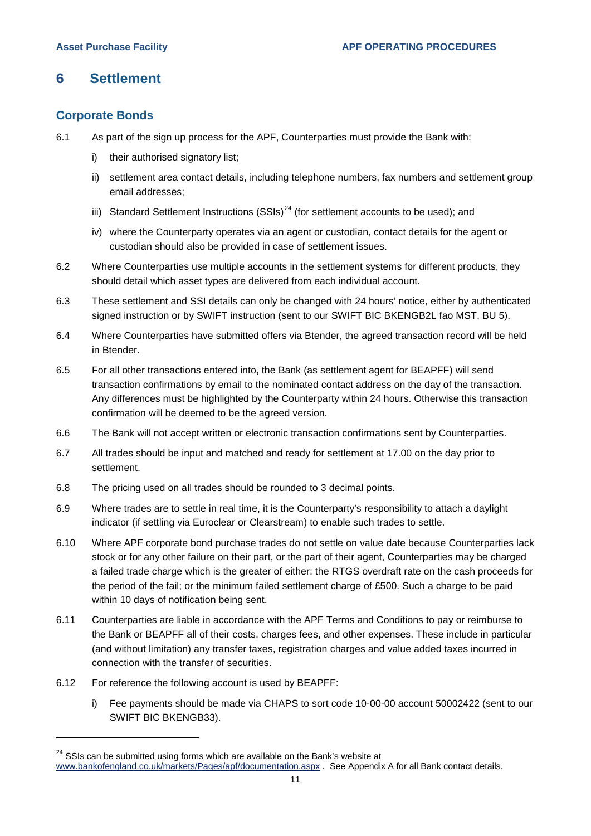# <span id="page-12-0"></span>**6 Settlement**

## **Corporate Bonds**

- 6.1 As part of the sign up process for the APF, Counterparties must provide the Bank with:
	- i) their authorised signatory list;
	- ii) settlement area contact details, including telephone numbers, fax numbers and settlement group email addresses;
	- iii) Standard Settlement Instructions (SSIs)<sup>[24](#page-12-1)</sup> (for settlement accounts to be used); and
	- iv) where the Counterparty operates via an agent or custodian, contact details for the agent or custodian should also be provided in case of settlement issues.
- 6.2 Where Counterparties use multiple accounts in the settlement systems for different products, they should detail which asset types are delivered from each individual account.
- 6.3 These settlement and SSI details can only be changed with 24 hours' notice, either by authenticated signed instruction or by SWIFT instruction (sent to our SWIFT BIC BKENGB2L fao MST, BU 5).
- 6.4 Where Counterparties have submitted offers via Btender, the agreed transaction record will be held in Btender.
- 6.5 For all other transactions entered into, the Bank (as settlement agent for BEAPFF) will send transaction confirmations by email to the nominated contact address on the day of the transaction. Any differences must be highlighted by the Counterparty within 24 hours. Otherwise this transaction confirmation will be deemed to be the agreed version.
- 6.6 The Bank will not accept written or electronic transaction confirmations sent by Counterparties.
- 6.7 All trades should be input and matched and ready for settlement at 17.00 on the day prior to settlement.
- 6.8 The pricing used on all trades should be rounded to 3 decimal points.
- 6.9 Where trades are to settle in real time, it is the Counterparty's responsibility to attach a daylight indicator (if settling via Euroclear or Clearstream) to enable such trades to settle.
- 6.10 Where APF corporate bond purchase trades do not settle on value date because Counterparties lack stock or for any other failure on their part, or the part of their agent, Counterparties may be charged a failed trade charge which is the greater of either: the RTGS overdraft rate on the cash proceeds for the period of the fail; or the minimum failed settlement charge of £500. Such a charge to be paid within 10 days of notification being sent.
- 6.11 Counterparties are liable in accordance with the APF Terms and Conditions to pay or reimburse to the Bank or BEAPFF all of their costs, charges fees, and other expenses. These include in particular (and without limitation) any transfer taxes, registration charges and value added taxes incurred in connection with the transfer of securities.
- 6.12 For reference the following account is used by BEAPFF:

-

i) Fee payments should be made via CHAPS to sort code 10-00-00 account 50002422 (sent to our SWIFT BIC BKENGB33).

<span id="page-12-1"></span> $24$  SSIs can be submitted using forms which are available on the Bank's website at [www.bankofengland.co.uk/markets/Pages/apf/documentation.aspx](http://www.bankofengland.co.uk/markets/Pages/apf/documentation.aspx) . See Appendix A for all Bank contact details.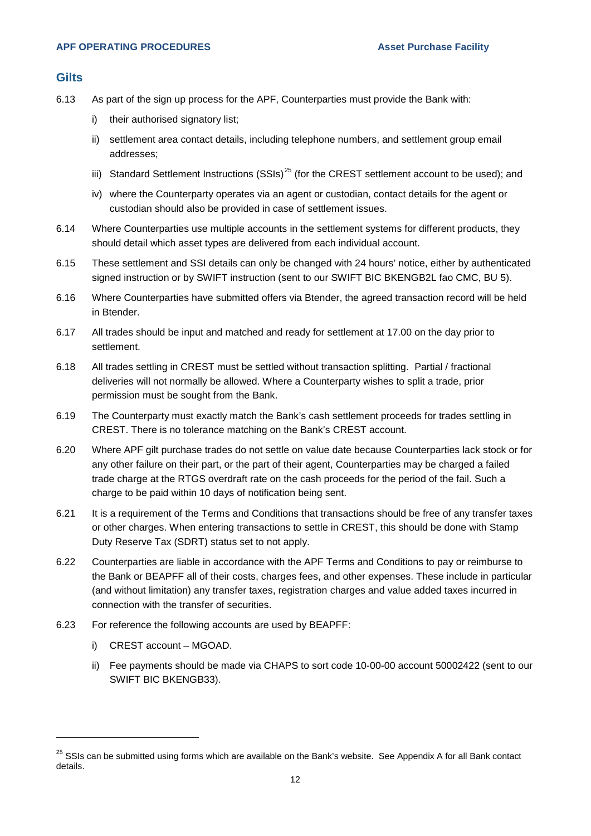#### **Gilts**

- 6.13 As part of the sign up process for the APF, Counterparties must provide the Bank with:
	- i) their authorised signatory list;
	- ii) settlement area contact details, including telephone numbers, and settlement group email addresses;
	- iii) Standard Settlement Instructions (SSIs)<sup>[25](#page-13-0)</sup> (for the CREST settlement account to be used); and
	- iv) where the Counterparty operates via an agent or custodian, contact details for the agent or custodian should also be provided in case of settlement issues.
- 6.14 Where Counterparties use multiple accounts in the settlement systems for different products, they should detail which asset types are delivered from each individual account.
- 6.15 These settlement and SSI details can only be changed with 24 hours' notice, either by authenticated signed instruction or by SWIFT instruction (sent to our SWIFT BIC BKENGB2L fao CMC, BU 5).
- 6.16 Where Counterparties have submitted offers via Btender, the agreed transaction record will be held in Btender.
- 6.17 All trades should be input and matched and ready for settlement at 17.00 on the day prior to settlement.
- 6.18 All trades settling in CREST must be settled without transaction splitting. Partial / fractional deliveries will not normally be allowed. Where a Counterparty wishes to split a trade, prior permission must be sought from the Bank.
- 6.19 The Counterparty must exactly match the Bank's cash settlement proceeds for trades settling in CREST. There is no tolerance matching on the Bank's CREST account.
- 6.20 Where APF gilt purchase trades do not settle on value date because Counterparties lack stock or for any other failure on their part, or the part of their agent, Counterparties may be charged a failed trade charge at the RTGS overdraft rate on the cash proceeds for the period of the fail. Such a charge to be paid within 10 days of notification being sent.
- 6.21 It is a requirement of the Terms and Conditions that transactions should be free of any transfer taxes or other charges. When entering transactions to settle in CREST, this should be done with Stamp Duty Reserve Tax (SDRT) status set to not apply.
- 6.22 Counterparties are liable in accordance with the APF Terms and Conditions to pay or reimburse to the Bank or BEAPFF all of their costs, charges fees, and other expenses. These include in particular (and without limitation) any transfer taxes, registration charges and value added taxes incurred in connection with the transfer of securities.
- 6.23 For reference the following accounts are used by BEAPFF:
	- i) CREST account MGOAD.

-

ii) Fee payments should be made via CHAPS to sort code 10-00-00 account 50002422 (sent to our SWIFT BIC BKENGB33).

<span id="page-13-0"></span><sup>&</sup>lt;sup>25</sup> SSIs can be submitted using forms which are available on the Bank's website. See Appendix A for all Bank contact details.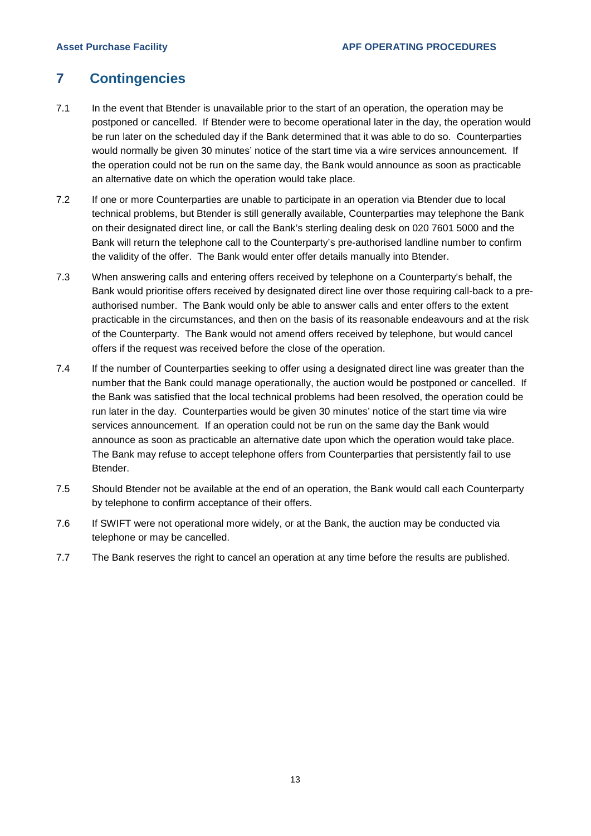# <span id="page-14-0"></span>**7 Contingencies**

- 7.1 In the event that Btender is unavailable prior to the start of an operation, the operation may be postponed or cancelled. If Btender were to become operational later in the day, the operation would be run later on the scheduled day if the Bank determined that it was able to do so. Counterparties would normally be given 30 minutes' notice of the start time via a wire services announcement. If the operation could not be run on the same day, the Bank would announce as soon as practicable an alternative date on which the operation would take place.
- 7.2 If one or more Counterparties are unable to participate in an operation via Btender due to local technical problems, but Btender is still generally available, Counterparties may telephone the Bank on their designated direct line, or call the Bank's sterling dealing desk on 020 7601 5000 and the Bank will return the telephone call to the Counterparty's pre-authorised landline number to confirm the validity of the offer. The Bank would enter offer details manually into Btender.
- 7.3 When answering calls and entering offers received by telephone on a Counterparty's behalf, the Bank would prioritise offers received by designated direct line over those requiring call-back to a preauthorised number. The Bank would only be able to answer calls and enter offers to the extent practicable in the circumstances, and then on the basis of its reasonable endeavours and at the risk of the Counterparty. The Bank would not amend offers received by telephone, but would cancel offers if the request was received before the close of the operation.
- 7.4 If the number of Counterparties seeking to offer using a designated direct line was greater than the number that the Bank could manage operationally, the auction would be postponed or cancelled. If the Bank was satisfied that the local technical problems had been resolved, the operation could be run later in the day. Counterparties would be given 30 minutes' notice of the start time via wire services announcement. If an operation could not be run on the same day the Bank would announce as soon as practicable an alternative date upon which the operation would take place. The Bank may refuse to accept telephone offers from Counterparties that persistently fail to use Btender.
- 7.5 Should Btender not be available at the end of an operation, the Bank would call each Counterparty by telephone to confirm acceptance of their offers.
- 7.6 If SWIFT were not operational more widely, or at the Bank, the auction may be conducted via telephone or may be cancelled.
- 7.7 The Bank reserves the right to cancel an operation at any time before the results are published.